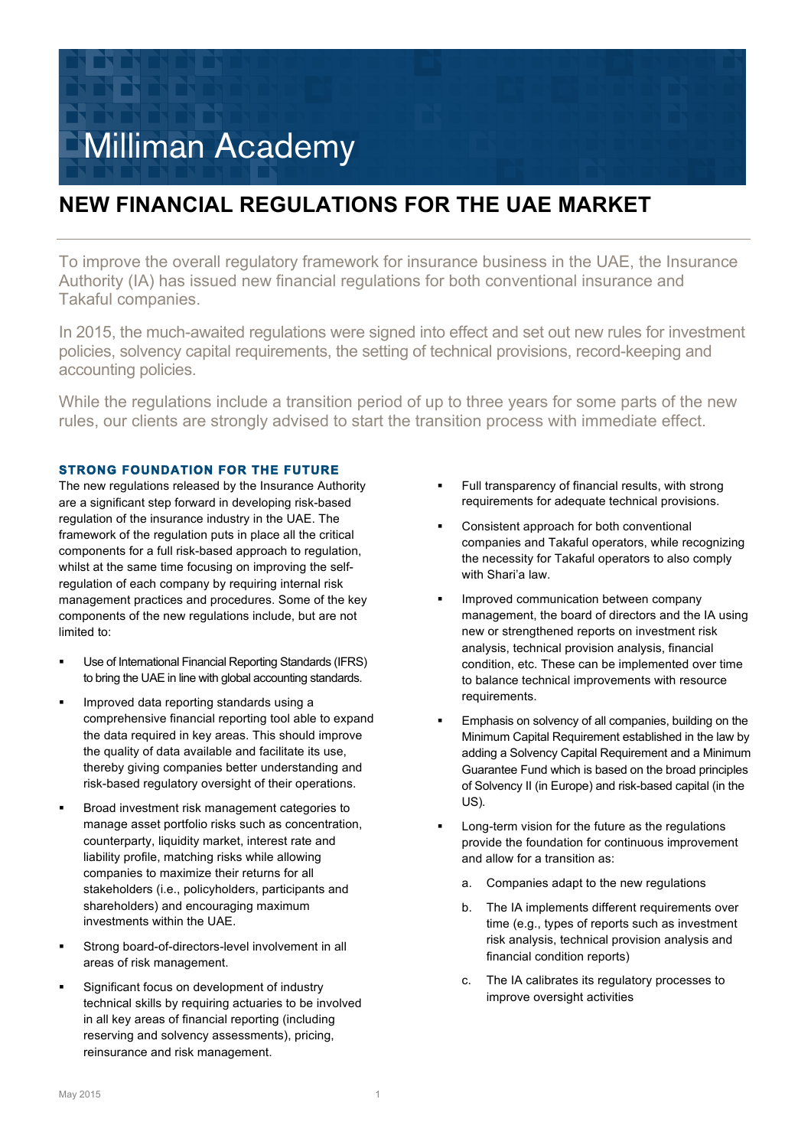

# **NEW FINANCIAL REGULATIONS FOR THE UAE MARKET**

To improve the overall regulatory framework for insurance business in the UAE, the Insurance Authority (IA) has issued new financial regulations for both conventional insurance and Takaful companies.

In 2015, the much-awaited regulations were signed into effect and set out new rules for investment policies, solvency capital requirements, the setting of technical provisions, record-keeping and accounting policies.

While the regulations include a transition period of up to three years for some parts of the new rules, our clients are strongly advised to start the transition process with immediate effect.

# **STRONG FOUNDATION FOR THE FUTURE**

The new regulations released by the Insurance Authority are a significant step forward in developing risk-based regulation of the insurance industry in the UAE. The framework of the regulation puts in place all the critical components for a full risk-based approach to regulation, whilst at the same time focusing on improving the selfregulation of each company by requiring internal risk management practices and procedures. Some of the key components of the new regulations include, but are not limited to:

- Use of International Financial Reporting Standards (IFRS) to bring the UAE in line with global accounting standards.
- § Improved data reporting standards using a comprehensive financial reporting tool able to expand the data required in key areas. This should improve the quality of data available and facilitate its use, thereby giving companies better understanding and risk-based regulatory oversight of their operations.
- § Broad investment risk management categories to manage asset portfolio risks such as concentration, counterparty, liquidity market, interest rate and liability profile, matching risks while allowing companies to maximize their returns for all stakeholders (i.e., policyholders, participants and shareholders) and encouraging maximum investments within the UAE.
- § Strong board-of-directors-level involvement in all areas of risk management.
- § Significant focus on development of industry technical skills by requiring actuaries to be involved in all key areas of financial reporting (including reserving and solvency assessments), pricing, reinsurance and risk management.
- **•** Full transparency of financial results, with strong requirements for adequate technical provisions.
- § Consistent approach for both conventional companies and Takaful operators, while recognizing the necessity for Takaful operators to also comply with Shari'a law.
- Improved communication between company management, the board of directors and the IA using new or strengthened reports on investment risk analysis, technical provision analysis, financial condition, etc. These can be implemented over time to balance technical improvements with resource requirements.
- Emphasis on solvency of all companies, building on the Minimum Capital Requirement established in the law by adding a Solvency Capital Requirement and a Minimum Guarantee Fund which is based on the broad principles of Solvency II (in Europe) and risk-based capital (in the US).
- Long-term vision for the future as the regulations provide the foundation for continuous improvement and allow for a transition as:
	- a. Companies adapt to the new regulations
	- b. The IA implements different requirements over time (e.g., types of reports such as investment risk analysis, technical provision analysis and financial condition reports)
	- c. The IA calibrates its regulatory processes to improve oversight activities